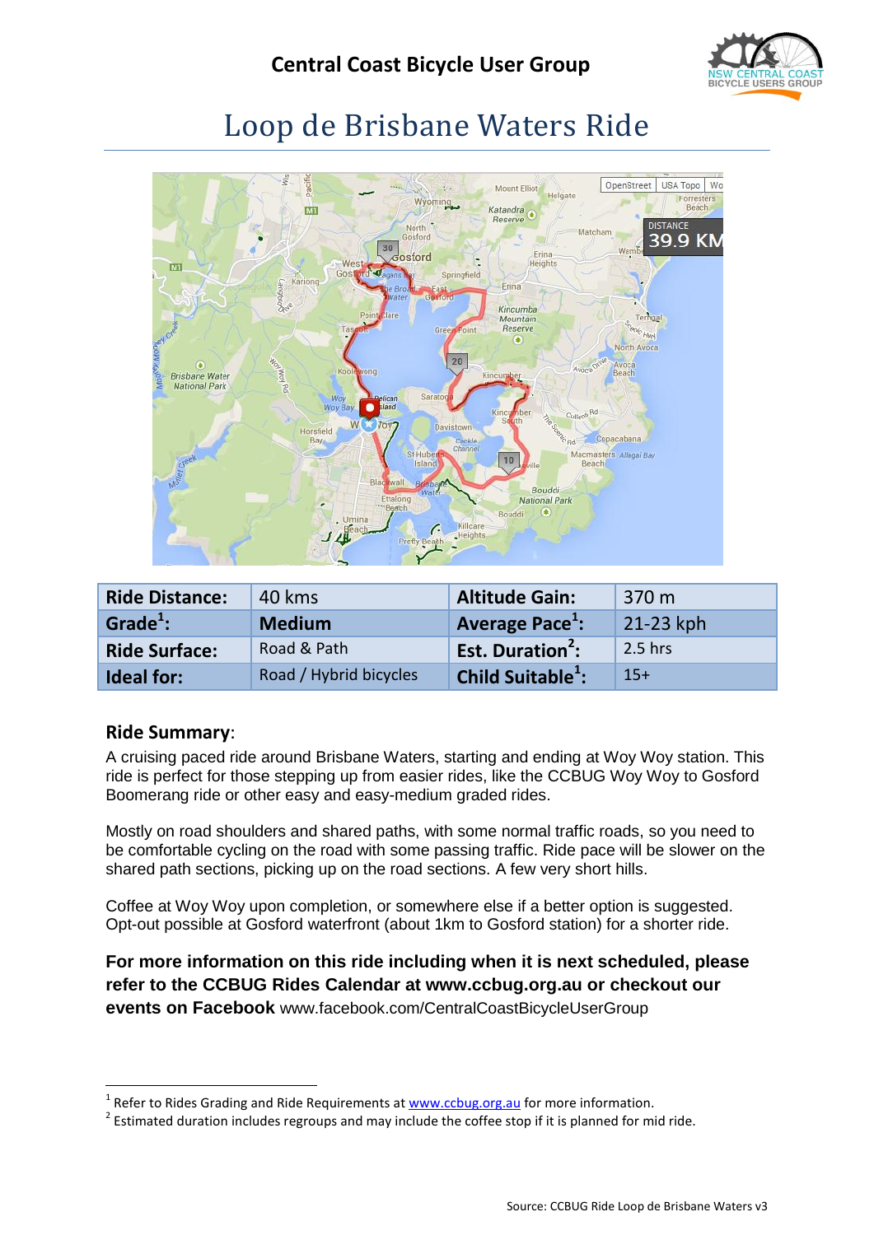

# Loop de Brisbane Waters Ride



<span id="page-0-0"></span>

| <b>Ride Distance:</b> | 40 kms                 | <b>Altitude Gain:</b>         | 370 m     |
|-----------------------|------------------------|-------------------------------|-----------|
| Grade <sup>1</sup> :  | <b>Medium</b>          | Average Pace <sup>1</sup> :   | 21-23 kph |
| <b>Ride Surface:</b>  | Road & Path            | Est. Duration <sup>2</sup> :  | $2.5$ hrs |
| <b>Ideal for:</b>     | Road / Hybrid bicycles | Child Suitable <sup>1</sup> : | $15+$     |

#### **Ride Summary**:

1

A cruising paced ride around Brisbane Waters, starting and ending at Woy Woy station. This ride is perfect for those stepping up from easier rides, like the CCBUG Woy Woy to Gosford Boomerang ride or other easy and easy-medium graded rides.

Mostly on road shoulders and shared paths, with some normal traffic roads, so you need to be comfortable cycling on the road with some passing traffic. Ride pace will be slower on the shared path sections, picking up on the road sections. A few very short hills.

Coffee at Woy Woy upon completion, or somewhere else if a better option is suggested. Opt-out possible at Gosford waterfront (about 1km to Gosford station) for a shorter ride.

**For more information on this ride including when it is next scheduled, please refer to the CCBUG Rides Calendar at www.ccbug.org.au or checkout our events on Facebook** [www.facebook.com/CentralCoastBicycleUserGroup](http://www.facebook.com/CentralCoastBicycleUserGroup)

<sup>&</sup>lt;sup>1</sup> Refer to Rides Grading and Ride Requirements at **www.ccbug.org.au** for more information.

 $2$  Estimated duration includes regroups and may include the coffee stop if it is planned for mid ride.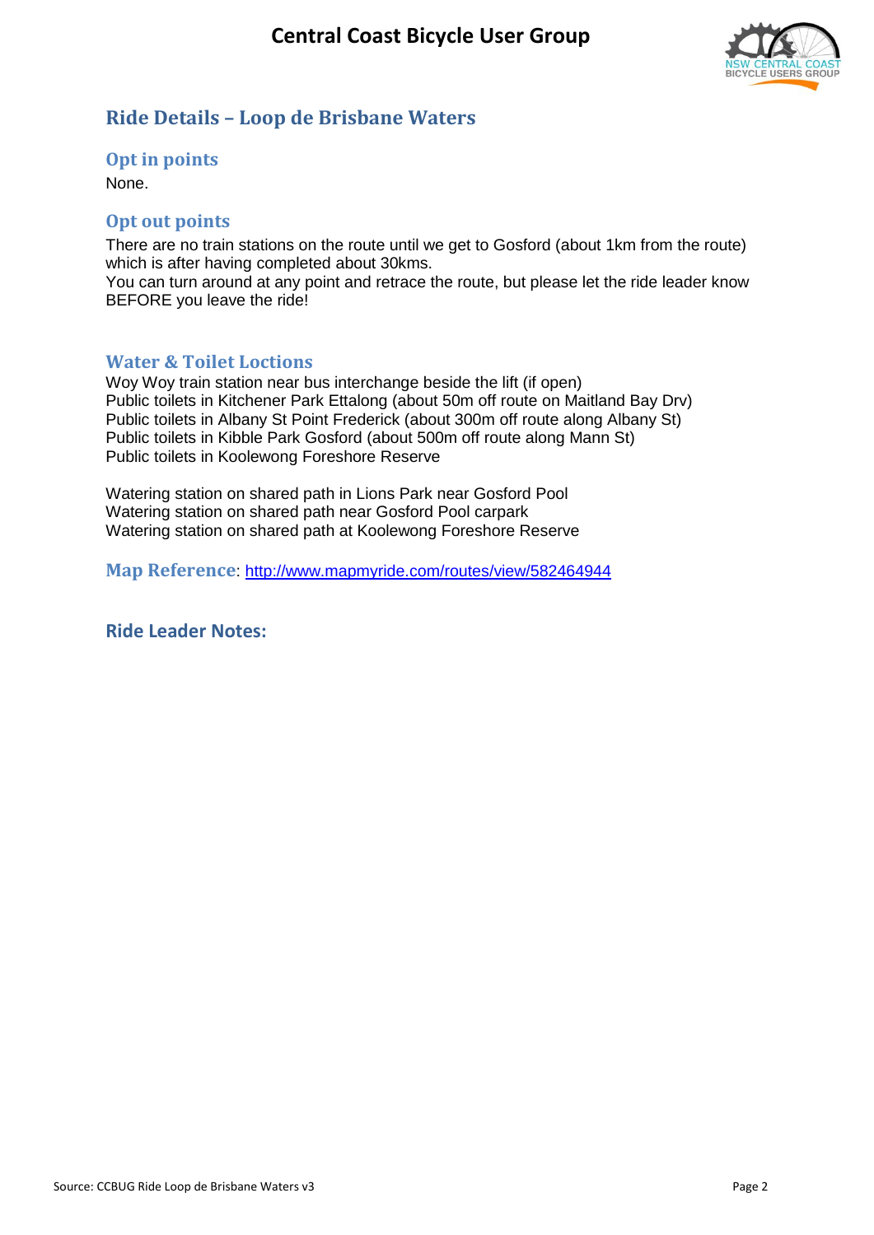

### **Ride Details – Loop de Brisbane Waters**

#### **Opt in points**

None.

#### **Opt out points**

There are no train stations on the route until we get to Gosford (about 1km from the route) which is after having completed about 30kms.

You can turn around at any point and retrace the route, but please let the ride leader know BEFORE you leave the ride!

#### **Water & Toilet Loctions**

Woy Woy train station near bus interchange beside the lift (if open) Public toilets in Kitchener Park Ettalong (about 50m off route on Maitland Bay Drv) Public toilets in Albany St Point Frederick (about 300m off route along Albany St) Public toilets in Kibble Park Gosford (about 500m off route along Mann St) Public toilets in Koolewong Foreshore Reserve

Watering station on shared path in Lions Park near Gosford Pool Watering station on shared path near Gosford Pool carpark Watering station on shared path at Koolewong Foreshore Reserve

**Map Reference**:<http://www.mapmyride.com/routes/view/582464944>

**Ride Leader Notes:**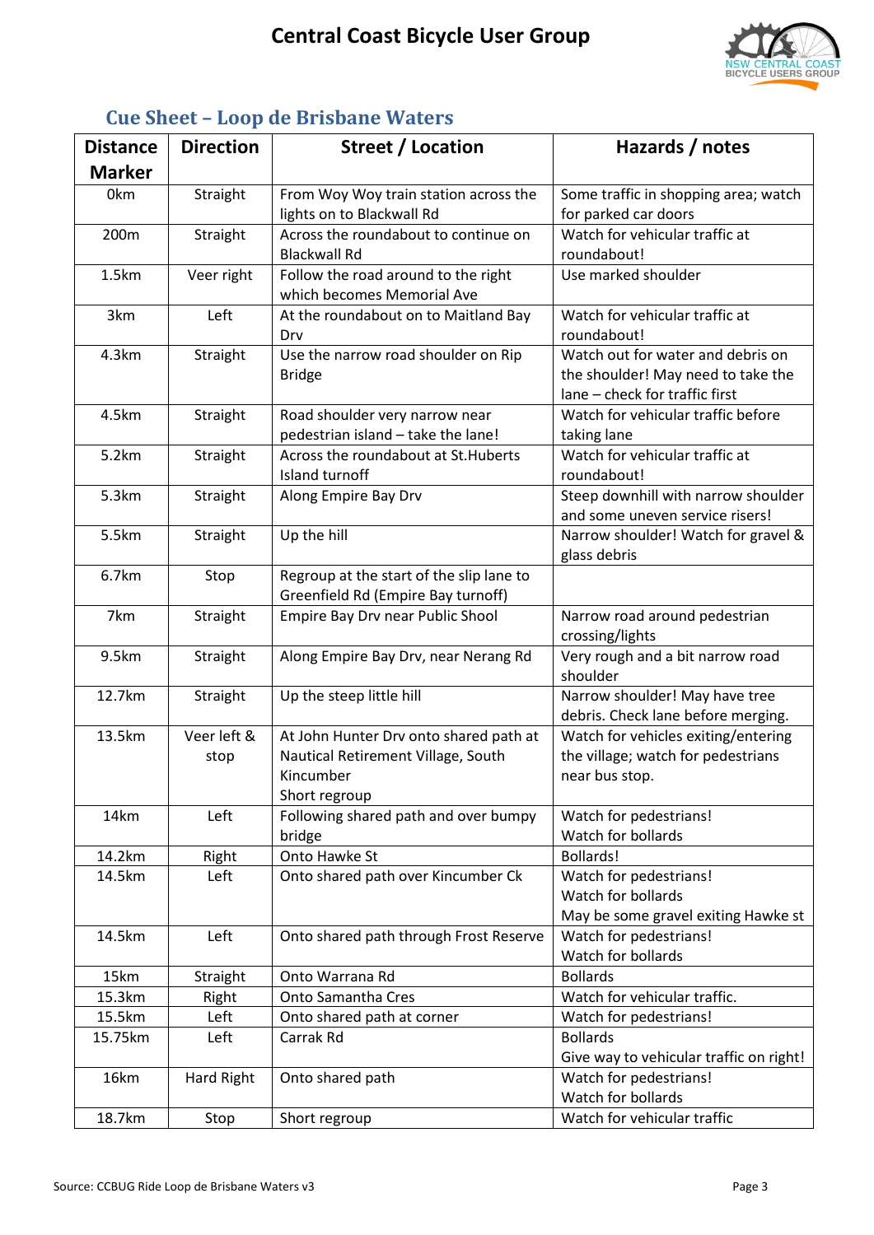

| <b>Distance</b> | <b>Direction</b>    | Street / Location                                                                                          | Hazards / notes                                                                                           |
|-----------------|---------------------|------------------------------------------------------------------------------------------------------------|-----------------------------------------------------------------------------------------------------------|
| <b>Marker</b>   |                     |                                                                                                            |                                                                                                           |
| 0 <sub>km</sub> | Straight            | From Woy Woy train station across the<br>lights on to Blackwall Rd                                         | Some traffic in shopping area; watch<br>for parked car doors                                              |
| 200m            | Straight            | Across the roundabout to continue on<br><b>Blackwall Rd</b>                                                | Watch for vehicular traffic at<br>roundabout!                                                             |
| 1.5km           | Veer right          | Follow the road around to the right<br>which becomes Memorial Ave                                          | Use marked shoulder                                                                                       |
| 3km             | Left                | At the roundabout on to Maitland Bay<br>Drv                                                                | Watch for vehicular traffic at<br>roundabout!                                                             |
| 4.3km           | Straight            | Use the narrow road shoulder on Rip<br><b>Bridge</b>                                                       | Watch out for water and debris on<br>the shoulder! May need to take the<br>lane - check for traffic first |
| 4.5km           | Straight            | Road shoulder very narrow near<br>pedestrian island - take the lane!                                       | Watch for vehicular traffic before<br>taking lane                                                         |
| 5.2km           | Straight            | Across the roundabout at St. Huberts<br>Island turnoff                                                     | Watch for vehicular traffic at<br>roundabout!                                                             |
| 5.3km           | Straight            | Along Empire Bay Drv                                                                                       | Steep downhill with narrow shoulder<br>and some uneven service risers!                                    |
| 5.5km           | Straight            | Up the hill                                                                                                | Narrow shoulder! Watch for gravel &<br>glass debris                                                       |
| 6.7km           | Stop                | Regroup at the start of the slip lane to<br>Greenfield Rd (Empire Bay turnoff)                             |                                                                                                           |
| 7km             | Straight            | Empire Bay Drv near Public Shool                                                                           | Narrow road around pedestrian<br>crossing/lights                                                          |
| 9.5km           | Straight            | Along Empire Bay Drv, near Nerang Rd                                                                       | Very rough and a bit narrow road<br>shoulder                                                              |
| 12.7km          | Straight            | Up the steep little hill                                                                                   | Narrow shoulder! May have tree<br>debris. Check lane before merging.                                      |
| 13.5km          | Veer left &<br>stop | At John Hunter Drv onto shared path at<br>Nautical Retirement Village, South<br>Kincumber<br>Short regroup | Watch for vehicles exiting/entering<br>the village; watch for pedestrians<br>near bus stop.               |
| 14km            | Left                | Following shared path and over bumpy<br>bridge                                                             | Watch for pedestrians!<br>Watch for bollards                                                              |
| 14.2km          | Right               | Onto Hawke St                                                                                              | <b>Bollards!</b>                                                                                          |
| 14.5km          | Left                | Onto shared path over Kincumber Ck                                                                         | Watch for pedestrians!<br>Watch for bollards<br>May be some gravel exiting Hawke st                       |
| 14.5km          | Left                | Onto shared path through Frost Reserve                                                                     | Watch for pedestrians!<br>Watch for bollards                                                              |
| 15km            | Straight            | Onto Warrana Rd                                                                                            | <b>Bollards</b>                                                                                           |
| 15.3km          | Right               | <b>Onto Samantha Cres</b>                                                                                  | Watch for vehicular traffic.                                                                              |
| 15.5km          | Left                | Onto shared path at corner                                                                                 | Watch for pedestrians!                                                                                    |
| 15.75km         | Left                | Carrak Rd                                                                                                  | <b>Bollards</b>                                                                                           |
|                 |                     |                                                                                                            | Give way to vehicular traffic on right!                                                                   |
| 16km            | Hard Right          | Onto shared path                                                                                           | Watch for pedestrians!<br>Watch for bollards                                                              |
| 18.7km          | Stop                | Short regroup                                                                                              | Watch for vehicular traffic                                                                               |

### **Cue Sheet – Loop de Brisbane Waters**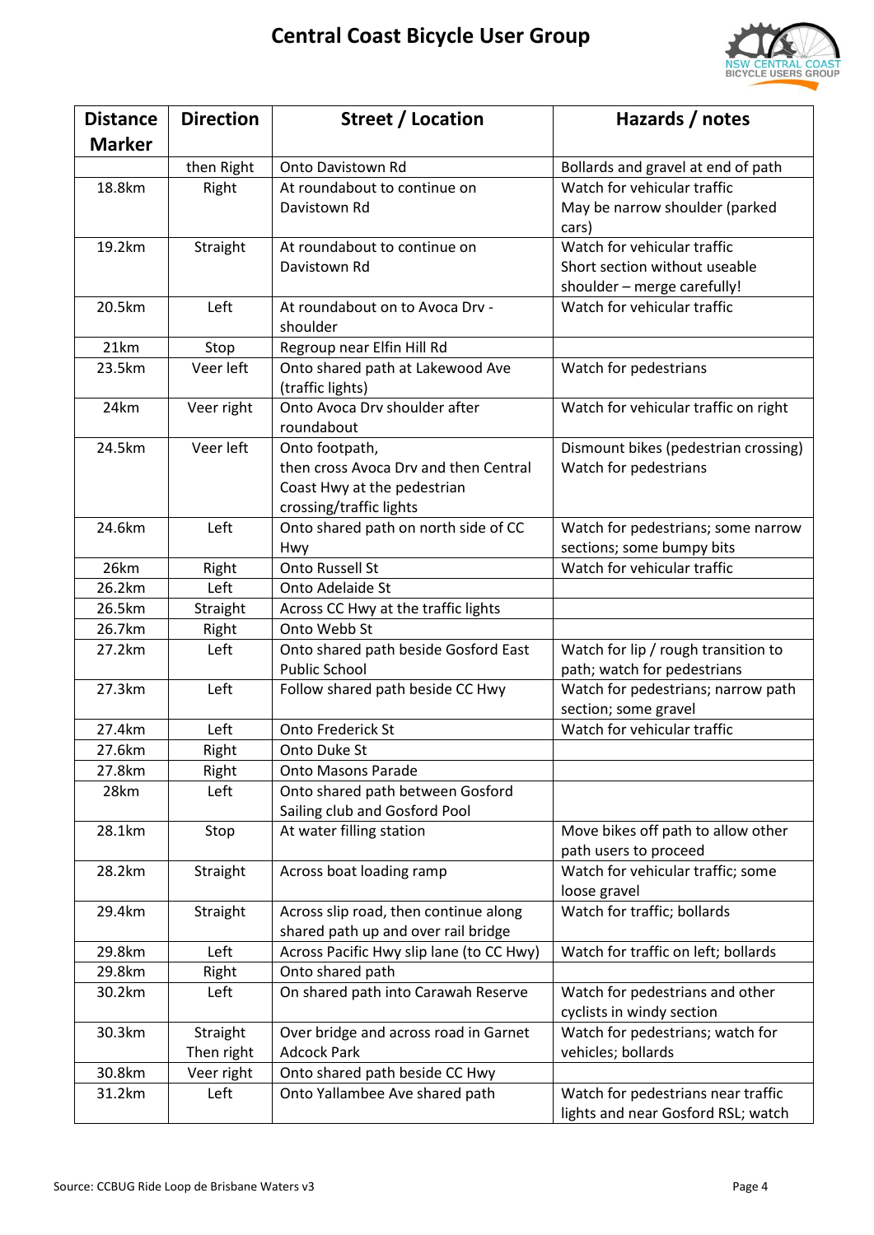## **Central Coast Bicycle User Group**



| <b>Distance</b>  | <b>Direction</b>   | <b>Street / Location</b>                                         | Hazards / notes                      |
|------------------|--------------------|------------------------------------------------------------------|--------------------------------------|
| <b>Marker</b>    |                    |                                                                  |                                      |
|                  | then Right         | Onto Davistown Rd                                                | Bollards and gravel at end of path   |
| 18.8km           | Right              | At roundabout to continue on                                     | Watch for vehicular traffic          |
|                  |                    | Davistown Rd                                                     | May be narrow shoulder (parked       |
|                  |                    |                                                                  | cars)                                |
| 19.2km           | Straight           | At roundabout to continue on                                     | Watch for vehicular traffic          |
|                  |                    | Davistown Rd                                                     | Short section without useable        |
|                  |                    |                                                                  | shoulder - merge carefully!          |
| 20.5km           | Left               | At roundabout on to Avoca Drv -                                  | Watch for vehicular traffic          |
| 21km             | Stop               | shoulder<br>Regroup near Elfin Hill Rd                           |                                      |
| 23.5km           | Veer left          | Onto shared path at Lakewood Ave                                 | Watch for pedestrians                |
|                  |                    | (traffic lights)                                                 |                                      |
| 24km             | Veer right         | Onto Avoca Drv shoulder after                                    | Watch for vehicular traffic on right |
|                  |                    | roundabout                                                       |                                      |
| 24.5km           | Veer left          | Onto footpath,                                                   | Dismount bikes (pedestrian crossing) |
|                  |                    | then cross Avoca Dry and then Central                            | Watch for pedestrians                |
|                  |                    | Coast Hwy at the pedestrian                                      |                                      |
|                  |                    | crossing/traffic lights                                          |                                      |
| 24.6km           | Left               | Onto shared path on north side of CC                             | Watch for pedestrians; some narrow   |
|                  |                    | Hwy                                                              | sections; some bumpy bits            |
| 26km             | Right              | <b>Onto Russell St</b>                                           | Watch for vehicular traffic          |
| 26.2km<br>26.5km | Left               | Onto Adelaide St                                                 |                                      |
| 26.7km           | Straight           | Across CC Hwy at the traffic lights<br>Onto Webb St              |                                      |
| 27.2km           | Right<br>Left      | Onto shared path beside Gosford East                             | Watch for lip / rough transition to  |
|                  |                    | <b>Public School</b>                                             | path; watch for pedestrians          |
| 27.3km           | Left               | Follow shared path beside CC Hwy                                 | Watch for pedestrians; narrow path   |
|                  |                    |                                                                  | section; some gravel                 |
| 27.4km           | Left               | <b>Onto Frederick St</b>                                         | Watch for vehicular traffic          |
| 27.6km           | Right              | Onto Duke St                                                     |                                      |
| 27.8km           | Right              | <b>Onto Masons Parade</b>                                        |                                      |
| 28km             | Left               | Onto shared path between Gosford                                 |                                      |
|                  |                    | Sailing club and Gosford Pool                                    |                                      |
| 28.1km           | Stop               | At water filling station                                         | Move bikes off path to allow other   |
|                  |                    |                                                                  | path users to proceed                |
| 28.2km           | Straight           | Across boat loading ramp                                         | Watch for vehicular traffic; some    |
|                  |                    |                                                                  | loose gravel                         |
| 29.4km           | Straight           | Across slip road, then continue along                            | Watch for traffic; bollards          |
|                  |                    | shared path up and over rail bridge                              |                                      |
| 29.8km           | Left               | Across Pacific Hwy slip lane (to CC Hwy)                         | Watch for traffic on left; bollards  |
| 29.8km           | Right              | Onto shared path                                                 |                                      |
| 30.2km           | Left               | On shared path into Carawah Reserve                              | Watch for pedestrians and other      |
|                  |                    |                                                                  | cyclists in windy section            |
| 30.3km           | Straight           | Over bridge and across road in Garnet                            | Watch for pedestrians; watch for     |
| 30.8km           | Then right         | <b>Adcock Park</b>                                               | vehicles; bollards                   |
| 31.2km           | Veer right<br>Left | Onto shared path beside CC Hwy<br>Onto Yallambee Ave shared path | Watch for pedestrians near traffic   |
|                  |                    |                                                                  | lights and near Gosford RSL; watch   |
|                  |                    |                                                                  |                                      |